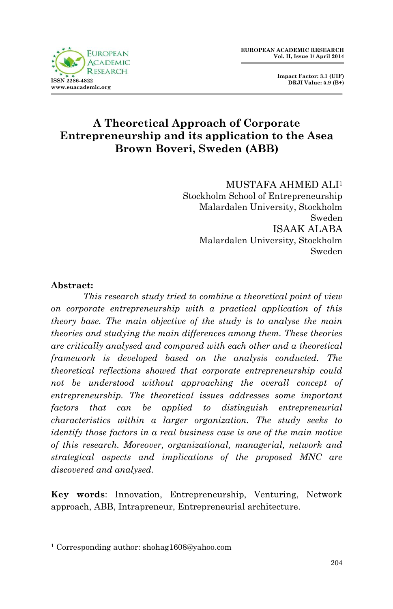

 **Impact Factor: 3.1 (UIF) DRJI Value: 5.9 (B+)**

## **A Theoretical Approach of Corporate Entrepreneurship and its application to the Asea Brown Boveri, Sweden (ABB)**

MUSTAFA AHMED ALI<sup>1</sup> Stockholm School of Entrepreneurship Malardalen University, Stockholm Sweden ISAAK ALABA Malardalen University, Stockholm Sweden

#### **Abstract:**

1

*This research study tried to combine a theoretical point of view on corporate entrepreneurship with a practical application of this theory base. The main objective of the study is to analyse the main theories and studying the main differences among them. These theories are critically analysed and compared with each other and a theoretical framework is developed based on the analysis conducted. The theoretical reflections showed that corporate entrepreneurship could not be understood without approaching the overall concept of entrepreneurship. The theoretical issues addresses some important factors that can be applied to distinguish entrepreneurial characteristics within a larger organization. The study seeks to identify those factors in a real business case is one of the main motive of this research. Moreover, organizational, managerial, network and strategical aspects and implications of the proposed MNC are discovered and analysed.*

**Key words**: Innovation, Entrepreneurship, Venturing, Network approach, ABB, Intrapreneur, Entrepreneurial architecture.

<sup>1</sup> Corresponding author: shohag1608@yahoo.com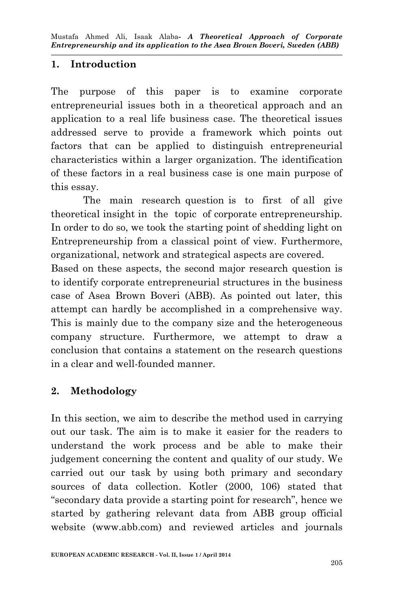## **1. Introduction**

The purpose of this paper is to examine corporate entrepreneurial issues both in a theoretical approach and an application to a real life business case. The theoretical issues addressed serve to provide a framework which points out factors that can be applied to distinguish entrepreneurial characteristics within a larger organization. The identification of these factors in a real business case is one main purpose of this essay.

The main research question is to first of all give theoretical insight in the topic of corporate entrepreneurship. In order to do so, we took the starting point of shedding light on Entrepreneurship from a classical point of view. Furthermore, organizational, network and strategical aspects are covered.

Based on these aspects, the second major research question is to identify corporate entrepreneurial structures in the business case of Asea Brown Boveri (ABB). As pointed out later, this attempt can hardly be accomplished in a comprehensive way. This is mainly due to the company size and the heterogeneous company structure. Furthermore, we attempt to draw a conclusion that contains a statement on the research questions in a clear and well-founded manner.

## **2. Methodology**

In this section, we aim to describe the method used in carrying out our task. The aim is to make it easier for the readers to understand the work process and be able to make their judgement concerning the content and quality of our study. We carried out our task by using both primary and secondary sources of data collection. Kotler (2000, 106) stated that "secondary data provide a starting point for research", hence we started by gathering relevant data from ABB group official website (www.abb.com) and reviewed articles and journals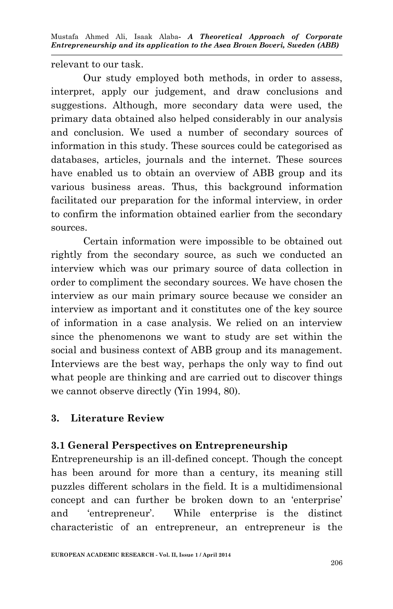relevant to our task.

Our study employed both methods, in order to assess, interpret, apply our judgement, and draw conclusions and suggestions. Although, more secondary data were used, the primary data obtained also helped considerably in our analysis and conclusion. We used a number of secondary sources of information in this study. These sources could be categorised as databases, articles, journals and the internet. These sources have enabled us to obtain an overview of ABB group and its various business areas. Thus, this background information facilitated our preparation for the informal interview, in order to confirm the information obtained earlier from the secondary sources.

Certain information were impossible to be obtained out rightly from the secondary source, as such we conducted an interview which was our primary source of data collection in order to compliment the secondary sources. We have chosen the interview as our main primary source because we consider an interview as important and it constitutes one of the key source of information in a case analysis. We relied on an interview since the phenomenons we want to study are set within the social and business context of ABB group and its management. Interviews are the best way, perhaps the only way to find out what people are thinking and are carried out to discover things we cannot observe directly (Yin 1994, 80).

## **3. Literature Review**

## **3.1 General Perspectives on Entrepreneurship**

Entrepreneurship is an ill-defined concept. Though the concept has been around for more than a century, its meaning still puzzles different scholars in the field. It is a multidimensional concept and can further be broken down to an 'enterprise' and 'entrepreneur'. While enterprise is the distinct characteristic of an entrepreneur, an entrepreneur is the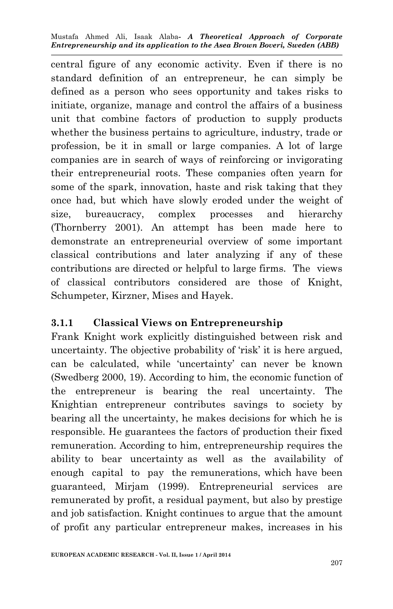central figure of any economic activity. Even if there is no standard definition of an entrepreneur, he can simply be defined as a person who sees opportunity and takes risks to initiate, organize, manage and control the affairs of a business unit that combine factors of production to supply products whether the business pertains to agriculture, industry, trade or profession, be it in small or large companies. A lot of large companies are in search of ways of reinforcing or invigorating their entrepreneurial roots. These companies often yearn for some of the spark, innovation, haste and risk taking that they once had, but which have slowly eroded under the weight of size, bureaucracy, complex processes and hierarchy (Thornberry 2001). An attempt has been made here to demonstrate an entrepreneurial overview of some important classical contributions and later analyzing if any of these contributions are directed or helpful to large firms. The views of classical contributors considered are those of Knight, Schumpeter, Kirzner, Mises and Hayek.

## **3.1.1 Classical Views on Entrepreneurship**

Frank Knight work explicitly distinguished between risk and uncertainty. The objective probability of 'risk' it is here argued, can be calculated, while 'uncertainty' can never be known (Swedberg 2000, 19). According to him, the economic function of the entrepreneur is bearing the real uncertainty. The Knightian entrepreneur contributes savings to society by bearing all the uncertainty, he makes decisions for which he is responsible. He guarantees the factors of production their fixed remuneration. According to him, entrepreneurship requires the ability to bear uncertainty as well as the availability of enough capital to pay the remunerations, which have been guaranteed, Mirjam (1999). Entrepreneurial services are remunerated by profit, a residual payment, but also by prestige and job satisfaction. Knight continues to argue that the amount of profit any particular entrepreneur makes, increases in his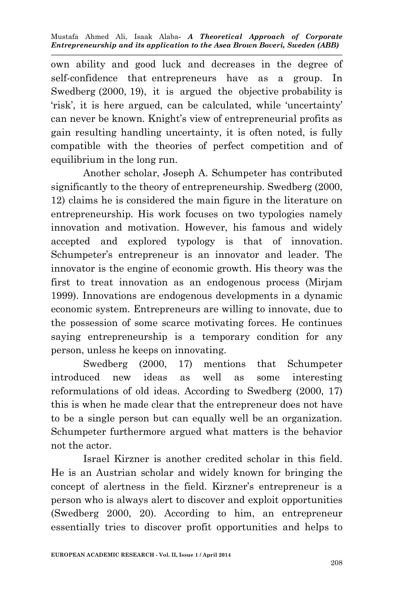own ability and good luck and decreases in the degree of self-confidence that entrepreneurs have as a group. In Swedberg (2000, 19), it is argued the objective probability is 'risk', it is here argued, can be calculated, while 'uncertainty' can never be known. Knight's view of entrepreneurial profits as gain resulting handling uncertainty, it is often noted, is fully compatible with the theories of perfect competition and of equilibrium in the long run.

Another scholar, Joseph A. Schumpeter has contributed significantly to the theory of entrepreneurship. Swedberg (2000, 12) claims he is considered the main figure in the literature on entrepreneurship. His work focuses on two typologies namely innovation and motivation. However, his famous and widely accepted and explored typology is that of innovation. Schumpeter's entrepreneur is an innovator and leader. The innovator is the engine of economic growth. His theory was the first to treat innovation as an endogenous process (Mirjam 1999). Innovations are endogenous developments in a dynamic economic system. Entrepreneurs are willing to innovate, due to the possession of some scarce motivating forces. He continues saying entrepreneurship is a temporary condition for any person, unless he keeps on innovating.

Swedberg (2000, 17) mentions that Schumpeter introduced new ideas as well as some interesting reformulations of old ideas. According to Swedberg (2000, 17) this is when he made clear that the entrepreneur does not have to be a single person but can equally well be an organization. Schumpeter furthermore argued what matters is the behavior not the actor.

Israel Kirzner is another credited scholar in this field. He is an Austrian scholar and widely known for bringing the concept of alertness in the field. Kirzner's entrepreneur is a person who is always alert to discover and exploit opportunities (Swedberg 2000, 20). According to him, an entrepreneur essentially tries to discover profit opportunities and helps to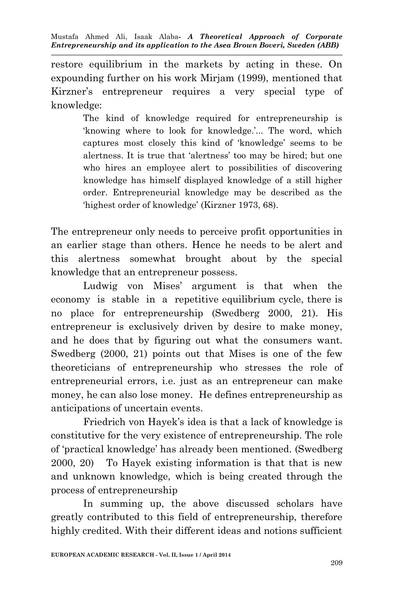restore equilibrium in the markets by acting in these. On expounding further on his work Mirjam (1999), mentioned that Kirzner's entrepreneur requires a very special type of knowledge:

> The kind of knowledge required for entrepreneurship is 'knowing where to look for knowledge.'... The word, which captures most closely this kind of 'knowledge' seems to be alertness. It is true that 'alertness' too may be hired; but one who hires an employee alert to possibilities of discovering knowledge has himself displayed knowledge of a still higher order. Entrepreneurial knowledge may be described as the 'highest order of knowledge' (Kirzner 1973, 68).

The entrepreneur only needs to perceive profit opportunities in an earlier stage than others. Hence he needs to be alert and this alertness somewhat brought about by the special knowledge that an entrepreneur possess.

Ludwig von Mises' argument is that when the economy is stable in a repetitive equilibrium cycle, there is no place for entrepreneurship (Swedberg 2000, 21). His entrepreneur is exclusively driven by desire to make money, and he does that by figuring out what the consumers want. Swedberg (2000, 21) points out that Mises is one of the few theoreticians of entrepreneurship who stresses the role of entrepreneurial errors, i.e. just as an entrepreneur can make money, he can also lose money. He defines entrepreneurship as anticipations of uncertain events.

Friedrich von Hayek's idea is that a lack of knowledge is constitutive for the very existence of entrepreneurship. The role of 'practical knowledge' has already been mentioned. (Swedberg 2000, 20) To Hayek existing information is that that is new and unknown knowledge, which is being created through the process of entrepreneurship

In summing up, the above discussed scholars have greatly contributed to this field of entrepreneurship, therefore highly credited. With their different ideas and notions sufficient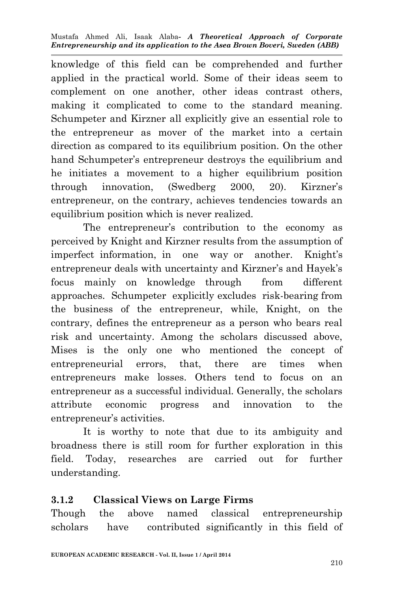knowledge of this field can be comprehended and further applied in the practical world. Some of their ideas seem to complement on one another, other ideas contrast others, making it complicated to come to the standard meaning. Schumpeter and Kirzner all explicitly give an essential role to the entrepreneur as mover of the market into a certain direction as compared to its equilibrium position. On the other hand Schumpeter's entrepreneur destroys the equilibrium and he initiates a movement to a higher equilibrium position through innovation, (Swedberg 2000, 20). Kirzner's entrepreneur, on the contrary, achieves tendencies towards an equilibrium position which is never realized.

The entrepreneur's contribution to the economy as perceived by Knight and Kirzner results from the assumption of imperfect information, in one way or another. Knight's entrepreneur deals with uncertainty and Kirzner's and Hayek's focus mainly on knowledge through from different approaches. Schumpeter explicitly excludes risk-bearing from the business of the entrepreneur, while, Knight, on the contrary, defines the entrepreneur as a person who bears real risk and uncertainty. Among the scholars discussed above, Mises is the only one who mentioned the concept of entrepreneurial errors, that, there are times when entrepreneurs make losses. Others tend to focus on an entrepreneur as a successful individual. Generally, the scholars attribute economic progress and innovation to the entrepreneur's activities.

It is worthy to note that due to its ambiguity and broadness there is still room for further exploration in this field. Today, researches are carried out for further understanding.

## **3.1.2 Classical Views on Large Firms**

Though the above named classical entrepreneurship scholars have contributed significantly in this field of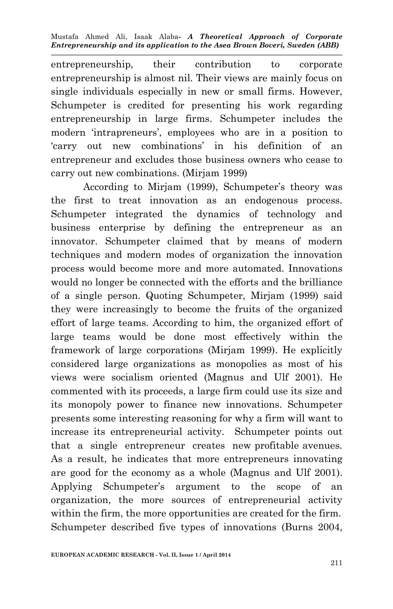entrepreneurship, their contribution to corporate entrepreneurship is almost nil. Their views are mainly focus on single individuals especially in new or small firms. However, Schumpeter is credited for presenting his work regarding entrepreneurship in large firms. Schumpeter includes the modern 'intrapreneurs', employees who are in a position to 'carry out new combinations' in his definition of an entrepreneur and excludes those business owners who cease to carry out new combinations. (Mirjam 1999)

According to Mirjam (1999), Schumpeter's theory was the first to treat innovation as an endogenous process. Schumpeter integrated the dynamics of technology and business enterprise by defining the entrepreneur as an innovator. Schumpeter claimed that by means of modern techniques and modern modes of organization the innovation process would become more and more automated. Innovations would no longer be connected with the efforts and the brilliance of a single person. Quoting Schumpeter, Mirjam (1999) said they were increasingly to become the fruits of the organized effort of large teams. According to him, the organized effort of large teams would be done most effectively within the framework of large corporations (Mirjam 1999). He explicitly considered large organizations as monopolies as most of his views were socialism oriented (Magnus and Ulf 2001). He commented with its proceeds, a large firm could use its size and its monopoly power to finance new innovations. Schumpeter presents some interesting reasoning for why a firm will want to increase its entrepreneurial activity. Schumpeter points out that a single entrepreneur creates new profitable avenues. As a result, he indicates that more entrepreneurs innovating are good for the economy as a whole (Magnus and Ulf 2001). Applying Schumpeter's argument to the scope of an organization, the more sources of entrepreneurial activity within the firm, the more opportunities are created for the firm. Schumpeter described five types of innovations (Burns 2004,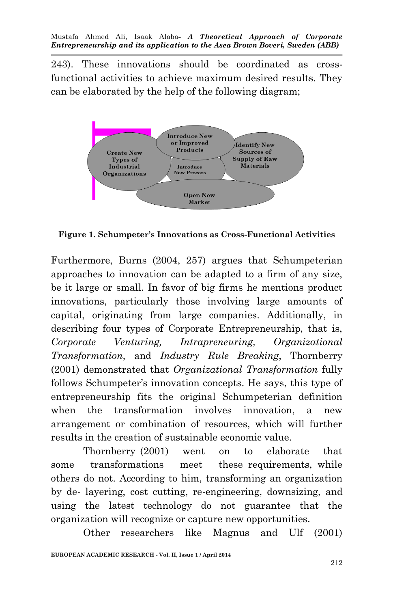243). These innovations should be coordinated as crossfunctional activities to achieve maximum desired results. They can be elaborated by the help of the following diagram;



**Figure 1. Schumpeter's Innovations as Cross-Functional Activities**

Furthermore, Burns (2004, 257) argues that Schumpeterian approaches to innovation can be adapted to a firm of any size, be it large or small. In favor of big firms he mentions product innovations, particularly those involving large amounts of capital, originating from large companies. Additionally, in describing four types of Corporate Entrepreneurship, that is, *Corporate Venturing, Intrapreneuring, Organizational Transformation*, and *Industry Rule Breaking*, Thornberry (2001) demonstrated that *Organizational Transformation* fully follows Schumpeter's innovation concepts. He says, this type of entrepreneurship fits the original Schumpeterian definition when the transformation involves innovation, a new arrangement or combination of resources, which will further results in the creation of sustainable economic value.

Thornberry (2001) went on to elaborate that some transformations meet these requirements, while others do not. According to him, transforming an organization by de- layering, cost cutting, re-engineering, downsizing, and using the latest technology do not guarantee that the organization will recognize or capture new opportunities.

Other researchers like Magnus and Ulf (2001)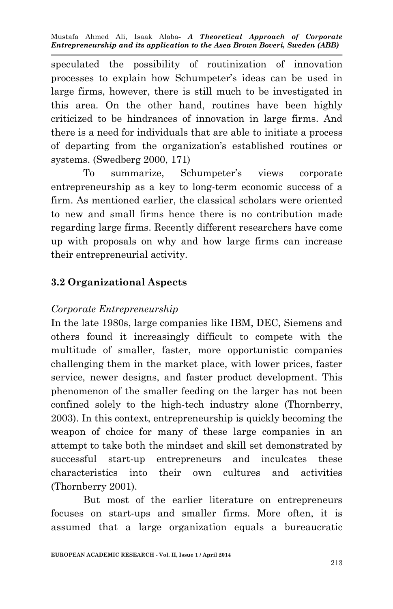speculated the possibility of routinization of innovation processes to explain how Schumpeter's ideas can be used in large firms, however, there is still much to be investigated in this area. On the other hand, routines have been highly criticized to be hindrances of innovation in large firms. And there is a need for individuals that are able to initiate a process of departing from the organization's established routines or systems. (Swedberg 2000, 171)

To summarize, Schumpeter's views corporate entrepreneurship as a key to long-term economic success of a firm. As mentioned earlier, the classical scholars were oriented to new and small firms hence there is no contribution made regarding large firms. Recently different researchers have come up with proposals on why and how large firms can increase their entrepreneurial activity.

#### **3.2 Organizational Aspects**

#### *Corporate Entrepreneurship*

In the late 1980s, large companies like IBM, DEC, Siemens and others found it increasingly difficult to compete with the multitude of smaller, faster, more opportunistic companies challenging them in the market place, with lower prices, faster service, newer designs, and faster product development. This phenomenon of the smaller feeding on the larger has not been confined solely to the high-tech industry alone (Thornberry, 2003). In this context, entrepreneurship is quickly becoming the weapon of choice for many of these large companies in an attempt to take both the mindset and skill set demonstrated by successful start-up entrepreneurs and inculcates these characteristics into their own cultures and activities (Thornberry 2001).

But most of the earlier literature on entrepreneurs focuses on start-ups and smaller firms. More often, it is assumed that a large organization equals a bureaucratic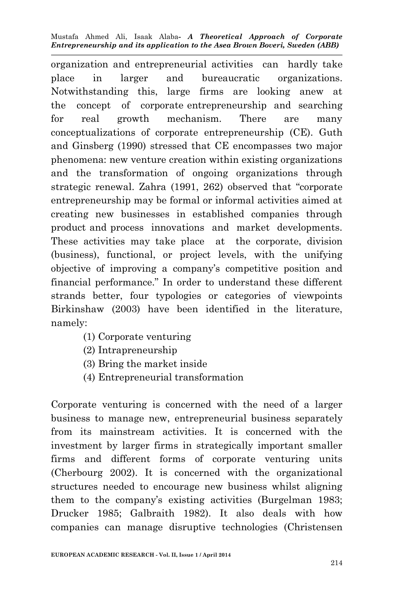organization and entrepreneurial activities can hardly take place in larger and bureaucratic organizations. Notwithstanding this, large firms are looking anew at the concept of corporate entrepreneurship and searching for real growth mechanism. There are many conceptualizations of corporate entrepreneurship (CE). Guth and Ginsberg (1990) stressed that CE encompasses two major phenomena: new venture creation within existing organizations and the transformation of ongoing organizations through strategic renewal. Zahra (1991, 262) observed that "corporate entrepreneurship may be formal or informal activities aimed at creating new businesses in established companies through product and process innovations and market developments. These activities may take place at the corporate, division (business), functional, or project levels, with the unifying objective of improving a company's competitive position and financial performance." In order to understand these different strands better, four typologies or categories of viewpoints Birkinshaw (2003) have been identified in the literature, namely:

- (1) Corporate venturing
- (2) Intrapreneurship
- (3) Bring the market inside
- (4) Entrepreneurial transformation

Corporate venturing is concerned with the need of a larger business to manage new, entrepreneurial business separately from its mainstream activities. It is concerned with the investment by larger firms in strategically important smaller firms and different forms of corporate venturing units (Cherbourg 2002). It is concerned with the organizational structures needed to encourage new business whilst aligning them to the company's existing activities (Burgelman 1983; Drucker 1985; Galbraith 1982). It also deals with how companies can manage disruptive technologies (Christensen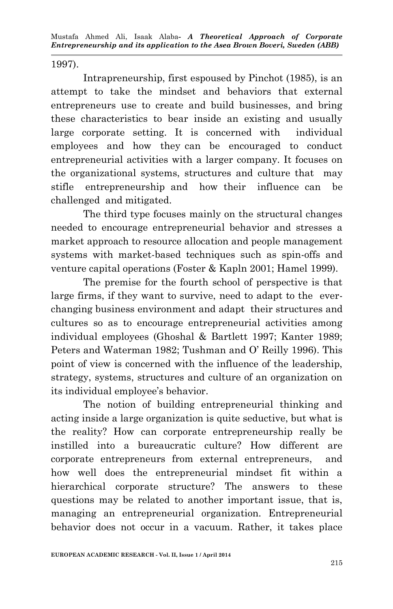1997).

Intrapreneurship, first espoused by Pinchot (1985), is an attempt to take the mindset and behaviors that external entrepreneurs use to create and build businesses, and bring these characteristics to bear inside an existing and usually large corporate setting. It is concerned with individual employees and how they can be encouraged to conduct entrepreneurial activities with a larger company. It focuses on the organizational systems, structures and culture that may stifle entrepreneurship and how their influence can be challenged and mitigated.

The third type focuses mainly on the structural changes needed to encourage entrepreneurial behavior and stresses a market approach to resource allocation and people management systems with market-based techniques such as spin-offs and venture capital operations (Foster & Kapln 2001; Hamel 1999).

The premise for the fourth school of perspective is that large firms, if they want to survive, need to adapt to the everchanging business environment and adapt their structures and cultures so as to encourage entrepreneurial activities among individual employees (Ghoshal & Bartlett 1997; Kanter 1989; Peters and Waterman 1982; Tushman and O' Reilly 1996). This point of view is concerned with the influence of the leadership, strategy, systems, structures and culture of an organization on its individual employee's behavior.

The notion of building entrepreneurial thinking and acting inside a large organization is quite seductive, but what is the reality? How can corporate entrepreneurship really be instilled into a bureaucratic culture? How different are corporate entrepreneurs from external entrepreneurs, and how well does the entrepreneurial mindset fit within a hierarchical corporate structure? The answers to these questions may be related to another important issue, that is, managing an entrepreneurial organization. Entrepreneurial behavior does not occur in a vacuum. Rather, it takes place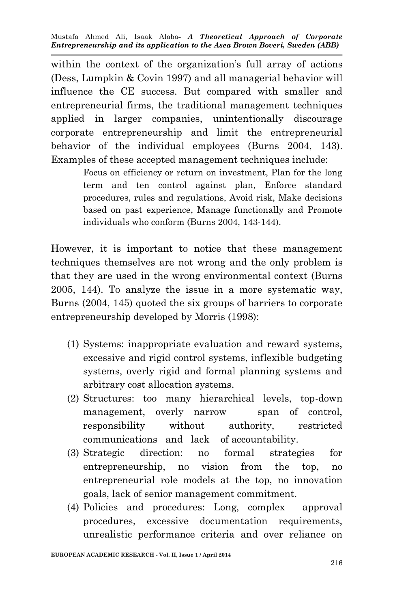within the context of the organization's full array of actions (Dess, Lumpkin & Covin 1997) and all managerial behavior will influence the CE success. But compared with smaller and entrepreneurial firms, the traditional management techniques applied in larger companies, unintentionally discourage corporate entrepreneurship and limit the entrepreneurial behavior of the individual employees (Burns 2004, 143). Examples of these accepted management techniques include:

> Focus on efficiency or return on investment, Plan for the long term and ten control against plan, Enforce standard procedures, rules and regulations, Avoid risk, Make decisions based on past experience, Manage functionally and Promote individuals who conform (Burns 2004, 143-144).

However, it is important to notice that these management techniques themselves are not wrong and the only problem is that they are used in the wrong environmental context (Burns 2005, 144). To analyze the issue in a more systematic way, Burns (2004, 145) quoted the six groups of barriers to corporate entrepreneurship developed by Morris (1998):

- (1) Systems: inappropriate evaluation and reward systems, excessive and rigid control systems, inflexible budgeting systems, overly rigid and formal planning systems and arbitrary cost allocation systems.
- (2) Structures: too many hierarchical levels, top-down management, overly narrow span of control, responsibility without authority, restricted communications and lack of accountability.
- (3) Strategic direction: no formal strategies for entrepreneurship, no vision from the top, no entrepreneurial role models at the top, no innovation goals, lack of senior management commitment.
- (4) Policies and procedures: Long, complex approval procedures, excessive documentation requirements, unrealistic performance criteria and over reliance on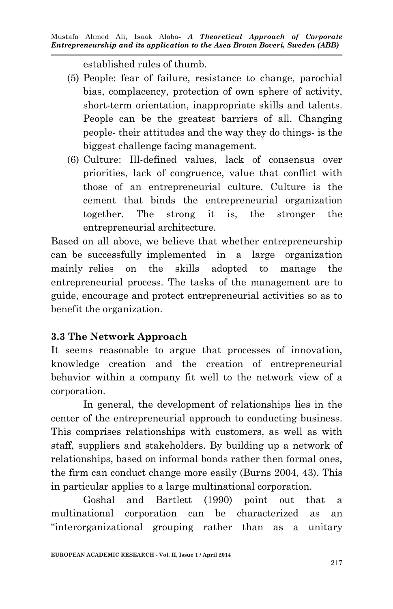established rules of thumb.

- (5) People: fear of failure, resistance to change, parochial bias, complacency, protection of own sphere of activity, short-term orientation, inappropriate skills and talents. People can be the greatest barriers of all. Changing people- their attitudes and the way they do things- is the biggest challenge facing management.
- (6) Culture: Ill-defined values, lack of consensus over priorities, lack of congruence, value that conflict with those of an entrepreneurial culture. Culture is the cement that binds the entrepreneurial organization together. The strong it is, the stronger the entrepreneurial architecture.

Based on all above, we believe that whether entrepreneurship can be successfully implemented in a large organization mainly relies on the skills adopted to manage the entrepreneurial process. The tasks of the management are to guide, encourage and protect entrepreneurial activities so as to benefit the organization.

## **3.3 The Network Approach**

It seems reasonable to argue that processes of innovation, knowledge creation and the creation of entrepreneurial behavior within a company fit well to the network view of a corporation.

In general, the development of relationships lies in the center of the entrepreneurial approach to conducting business. This comprises relationships with customers, as well as with staff, suppliers and stakeholders. By building up a network of relationships, based on informal bonds rather then formal ones, the firm can conduct change more easily (Burns 2004, 43). This in particular applies to a large multinational corporation.

Goshal and Bartlett (1990) point out that a multinational corporation can be characterized as an "interorganizational grouping rather than as a unitary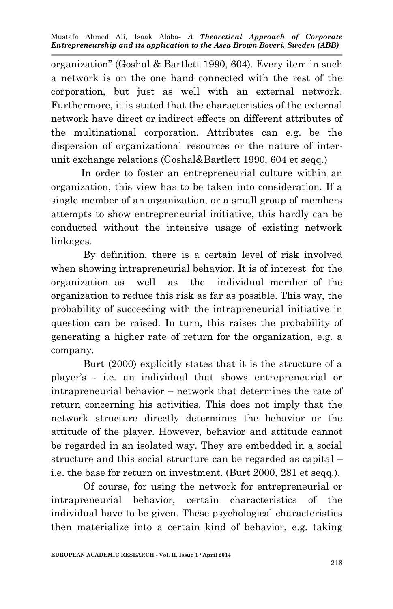organization" (Goshal & Bartlett 1990, 604). Every item in such a network is on the one hand connected with the rest of the corporation, but just as well with an external network. Furthermore, it is stated that the characteristics of the external network have direct or indirect effects on different attributes of the multinational corporation. Attributes can e.g. be the dispersion of organizational resources or the nature of interunit exchange relations (Goshal&Bartlett 1990, 604 et seqq.)

 In order to foster an entrepreneurial culture within an organization, this view has to be taken into consideration. If a single member of an organization, or a small group of members attempts to show entrepreneurial initiative, this hardly can be conducted without the intensive usage of existing network linkages.

By definition, there is a certain level of risk involved when showing intrapreneurial behavior. It is of interest for the organization as well as the individual member of the organization to reduce this risk as far as possible. This way, the probability of succeeding with the intrapreneurial initiative in question can be raised. In turn, this raises the probability of generating a higher rate of return for the organization, e.g. a company.

Burt (2000) explicitly states that it is the structure of a player's - i.e. an individual that shows entrepreneurial or intrapreneurial behavior – network that determines the rate of return concerning his activities. This does not imply that the network structure directly determines the behavior or the attitude of the player. However, behavior and attitude cannot be regarded in an isolated way. They are embedded in a social structure and this social structure can be regarded as capital – i.e. the base for return on investment. (Burt 2000, 281 et seqq.).

Of course, for using the network for entrepreneurial or intrapreneurial behavior, certain characteristics of the individual have to be given. These psychological characteristics then materialize into a certain kind of behavior, e.g. taking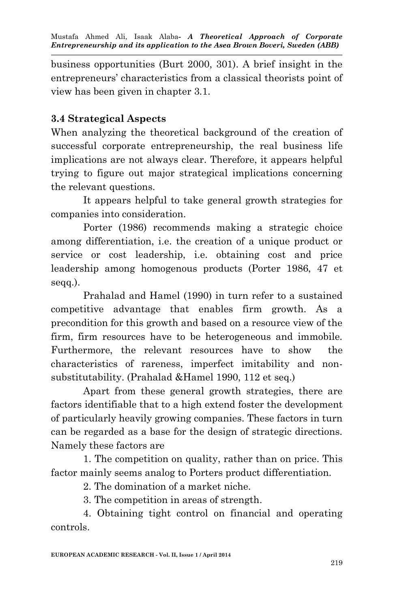business opportunities (Burt 2000, 301). A brief insight in the entrepreneurs' characteristics from a classical theorists point of view has been given in chapter 3.1.

## **3.4 Strategical Aspects**

When analyzing the theoretical background of the creation of successful corporate entrepreneurship, the real business life implications are not always clear. Therefore, it appears helpful trying to figure out major strategical implications concerning the relevant questions.

It appears helpful to take general growth strategies for companies into consideration.

Porter (1986) recommends making a strategic choice among differentiation, i.e. the creation of a unique product or service or cost leadership, i.e. obtaining cost and price leadership among homogenous products (Porter 1986, 47 et seqq.).

Prahalad and Hamel (1990) in turn refer to a sustained competitive advantage that enables firm growth. As a precondition for this growth and based on a resource view of the firm, firm resources have to be heterogeneous and immobile. Furthermore, the relevant resources have to show the characteristics of rareness, imperfect imitability and nonsubstitutability. (Prahalad &Hamel 1990, 112 et seq.)

Apart from these general growth strategies, there are factors identifiable that to a high extend foster the development of particularly heavily growing companies. These factors in turn can be regarded as a base for the design of strategic directions. Namely these factors are

1. The competition on quality, rather than on price. This factor mainly seems analog to Porters product differentiation.

2. The domination of a market niche.

3. The competition in areas of strength.

4. Obtaining tight control on financial and operating controls.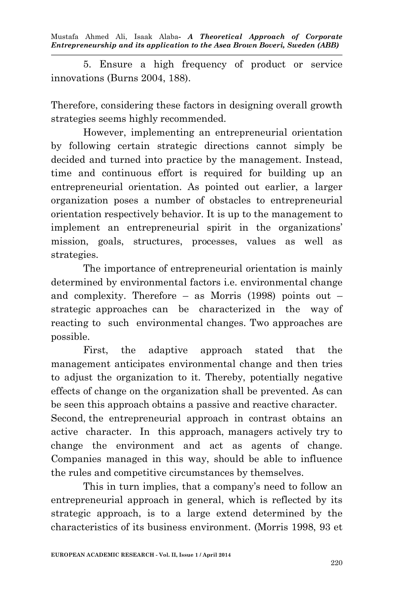5. Ensure a high frequency of product or service innovations (Burns 2004, 188).

Therefore, considering these factors in designing overall growth strategies seems highly recommended.

However, implementing an entrepreneurial orientation by following certain strategic directions cannot simply be decided and turned into practice by the management. Instead, time and continuous effort is required for building up an entrepreneurial orientation. As pointed out earlier, a larger organization poses a number of obstacles to entrepreneurial orientation respectively behavior. It is up to the management to implement an entrepreneurial spirit in the organizations' mission, goals, structures, processes, values as well as strategies.

The importance of entrepreneurial orientation is mainly determined by environmental factors i.e. environmental change and complexity. Therefore – as Morris (1998) points out – strategic approaches can be characterized in the way of reacting to such environmental changes. Two approaches are possible.

First, the adaptive approach stated that the management anticipates environmental change and then tries to adjust the organization to it. Thereby, potentially negative effects of change on the organization shall be prevented. As can be seen this approach obtains a passive and reactive character. Second, the entrepreneurial approach in contrast obtains an active character. In this approach, managers actively try to change the environment and act as agents of change. Companies managed in this way, should be able to influence the rules and competitive circumstances by themselves.

This in turn implies, that a company's need to follow an entrepreneurial approach in general, which is reflected by its strategic approach, is to a large extend determined by the characteristics of its business environment. (Morris 1998, 93 et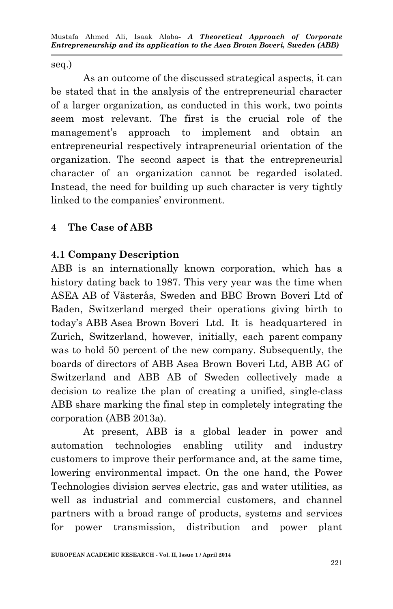seq.)

As an outcome of the discussed strategical aspects, it can be stated that in the analysis of the entrepreneurial character of a larger organization, as conducted in this work, two points seem most relevant. The first is the crucial role of the management's approach to implement and obtain an entrepreneurial respectively intrapreneurial orientation of the organization. The second aspect is that the entrepreneurial character of an organization cannot be regarded isolated. Instead, the need for building up such character is very tightly linked to the companies' environment.

## **4 The Case of ABB**

## **4.1 Company Description**

ABB is an internationally known corporation, which has a history dating back to 1987. This very year was the time when ASEA AB of Västerås, Sweden and BBC Brown Boveri Ltd of Baden, Switzerland merged their operations giving birth to today's ABB Asea Brown Boveri Ltd. It is headquartered in Zurich, Switzerland, however, initially, each parent company was to hold 50 percent of the new company. Subsequently, the boards of directors of ABB Asea Brown Boveri Ltd, ABB AG of Switzerland and ABB AB of Sweden collectively made a decision to realize the plan of creating a unified, single-class ABB share marking the final step in completely integrating the corporation (ABB 2013a).

At present, ABB is a global leader in power and automation technologies enabling utility and industry customers to improve their performance and, at the same time, lowering environmental impact. On the one hand, the Power Technologies division serves electric, gas and water utilities, as well as industrial and commercial customers, and channel partners with a broad range of products, systems and services for power transmission, distribution and power plant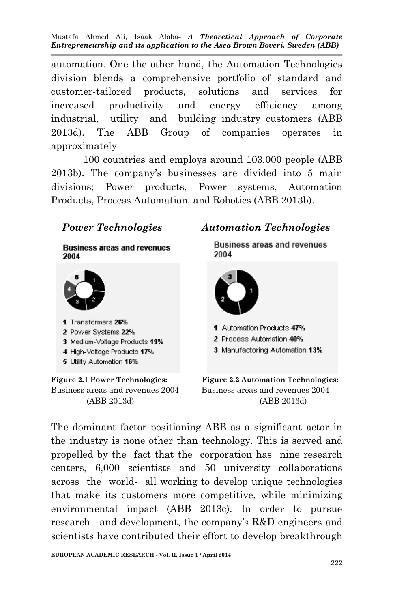automation. One the other hand, the Automation Technologies division blends a comprehensive portfolio of standard and customer-tailored products, solutions and services for increased productivity and energy efficiency among industrial, utility and building industry customers (ABB 2013d). The ABB Group of companies operates in approximately

100 countries and employs around 103,000 people (ABB 2013b). The company's businesses are divided into 5 main divisions; Power products, Power systems, Automation Products, Process Automation, and Robotics (ABB 2013b).

**Business areas and revenues** 2004



- 1 Transformers 26%
- 2 Power Systems 22%
- 3 Medium-Voltage Products 19%
- 4 High-Voltage Products 17%
- 5 Utility Automation 16%

#### *Power Technologies Automation Technologies*

**Business areas and revenues** 2004



1 Automation Products 47%

2 Process Automation 40%

3 Manufactoring Automation 13%



The dominant factor positioning ABB as a significant actor in the industry is none other than technology. This is served and propelled by the fact that the corporation has nine research centers, 6,000 scientists and 50 university collaborations across the world- all working to develop unique technologies that make its customers more competitive, while minimizing environmental impact (ABB 2013c). In order to pursue research and development, the company's R&D engineers and scientists have contributed their effort to develop breakthrough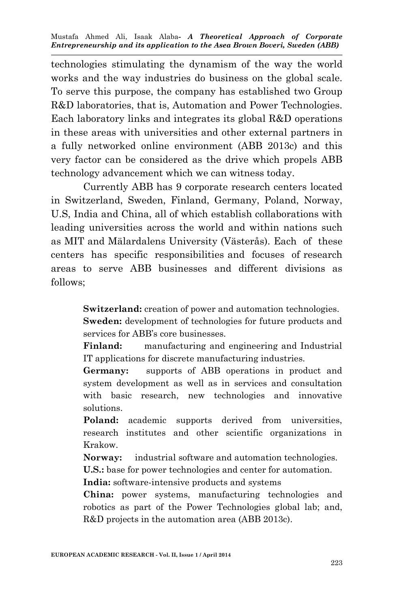technologies stimulating the dynamism of the way the world works and the way industries do business on the global scale. To serve this purpose, the company has established two Group R&D laboratories, that is, Automation and Power Technologies. Each laboratory links and integrates its global R&D operations in these areas with universities and other external partners in a fully networked online environment (ABB 2013c) and this very factor can be considered as the drive which propels ABB technology advancement which we can witness today.

Currently ABB has 9 corporate research centers located in Switzerland, Sweden, Finland, Germany, Poland, Norway, U.S, India and China, all of which establish collaborations with leading universities across the world and within nations such as MIT and Mälardalens University (Västerås). Each of these centers has specific responsibilities and focuses of research areas to serve ABB businesses and different divisions as follows;

> **Switzerland:** creation of power and automation technologies. **Sweden:** development of technologies for future products and

services for ABB's core businesses.

**Finland:** manufacturing and engineering and Industrial IT applications for discrete manufacturing industries.

**Germany:** supports of ABB operations in product and system development as well as in services and consultation with basic research, new technologies and innovative solutions.

Poland: academic supports derived from universities, research institutes and other scientific organizations in Krakow.

**Norway:** industrial software and automation technologies.

**U.S.:** base for power technologies and center for automation.

**India:** software-intensive products and systems

**China:** power systems, manufacturing technologies and robotics as part of the Power Technologies global lab; and, R&D projects in the automation area (ABB 2013c).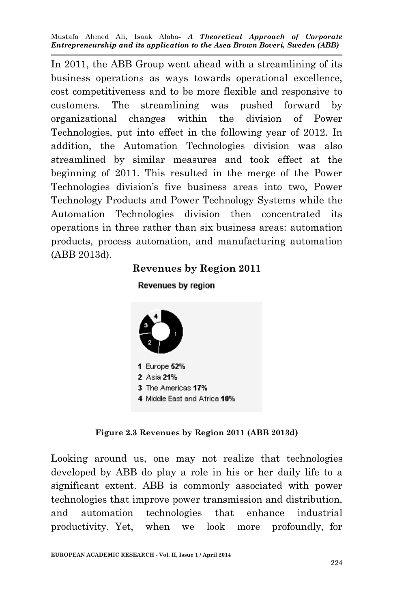In 2011, the ABB Group went ahead with a streamlining of its business operations as ways towards operational excellence, cost competitiveness and to be more flexible and responsive to customers. The streamlining was pushed forward by organizational changes within the division of Power Technologies, put into effect in the following year of 2012. In addition, the Automation Technologies division was also streamlined by similar measures and took effect at the beginning of 2011. This resulted in the merge of the Power Technologies division's five business areas into two, Power Technology Products and Power Technology Systems while the Automation Technologies division then concentrated its operations in three rather than six business areas: automation products, process automation, and manufacturing automation (ABB 2013d).

#### **Revenues by Region 2011**



# Revenues by region

#### **Figure 2.3 Revenues by Region 2011 (ABB 2013d)**

Looking around us, one may not realize that technologies developed by ABB do play a role in his or her daily life to a significant extent. ABB is commonly associated with power technologies that improve power transmission and distribution, and automation technologies that enhance industrial productivity. Yet, when we look more profoundly, for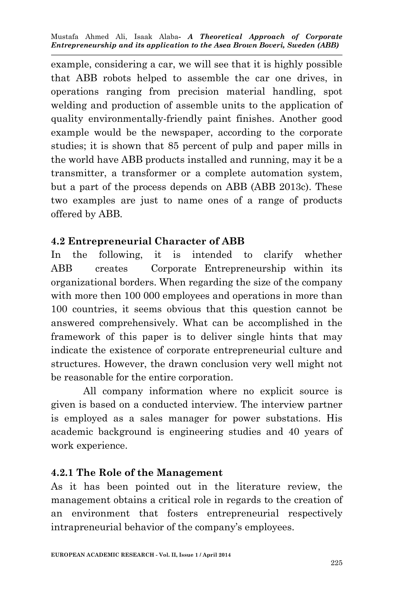example, considering a car, we will see that it is highly possible that ABB robots helped to assemble the car one drives, in operations ranging from precision material handling, spot welding and production of assemble units to the application of quality environmentally-friendly paint finishes. Another good example would be the newspaper, according to the corporate studies; it is shown that 85 percent of pulp and paper mills in the world have ABB products installed and running, may it be a transmitter, a transformer or a complete automation system, but a part of the process depends on ABB (ABB 2013c). These two examples are just to name ones of a range of products offered by ABB.

## **4.2 Entrepreneurial Character of ABB**

In the following, it is intended to clarify whether ABB creates Corporate Entrepreneurship within its organizational borders. When regarding the size of the company with more then 100 000 employees and operations in more than 100 countries, it seems obvious that this question cannot be answered comprehensively. What can be accomplished in the framework of this paper is to deliver single hints that may indicate the existence of corporate entrepreneurial culture and structures. However, the drawn conclusion very well might not be reasonable for the entire corporation.

All company information where no explicit source is given is based on a conducted interview. The interview partner is employed as a sales manager for power substations. His academic background is engineering studies and 40 years of work experience.

## **4.2.1 The Role of the Management**

As it has been pointed out in the literature review, the management obtains a critical role in regards to the creation of an environment that fosters entrepreneurial respectively intrapreneurial behavior of the company's employees.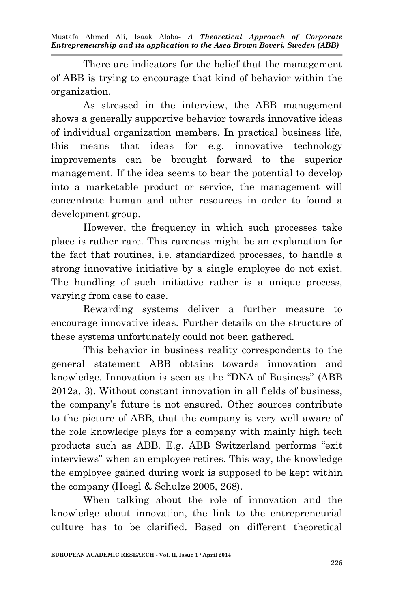There are indicators for the belief that the management of ABB is trying to encourage that kind of behavior within the organization.

As stressed in the interview, the ABB management shows a generally supportive behavior towards innovative ideas of individual organization members. In practical business life, this means that ideas for e.g. innovative technology improvements can be brought forward to the superior management. If the idea seems to bear the potential to develop into a marketable product or service, the management will concentrate human and other resources in order to found a development group.

However, the frequency in which such processes take place is rather rare. This rareness might be an explanation for the fact that routines, i.e. standardized processes, to handle a strong innovative initiative by a single employee do not exist. The handling of such initiative rather is a unique process, varying from case to case.

Rewarding systems deliver a further measure to encourage innovative ideas. Further details on the structure of these systems unfortunately could not been gathered.

This behavior in business reality correspondents to the general statement ABB obtains towards innovation and knowledge. Innovation is seen as the "DNA of Business" (ABB 2012a, 3). Without constant innovation in all fields of business, the company's future is not ensured. Other sources contribute to the picture of ABB, that the company is very well aware of the role knowledge plays for a company with mainly high tech products such as ABB. E.g. ABB Switzerland performs "exit interviews" when an employee retires. This way, the knowledge the employee gained during work is supposed to be kept within the company (Hoegl & Schulze 2005, 268).

When talking about the role of innovation and the knowledge about innovation, the link to the entrepreneurial culture has to be clarified. Based on different theoretical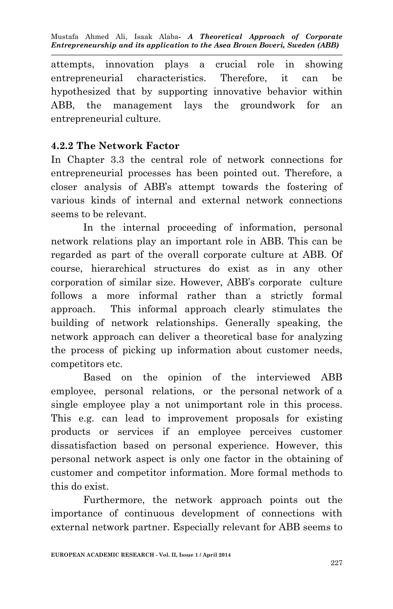attempts, innovation plays a crucial role in showing entrepreneurial characteristics. Therefore, it can be hypothesized that by supporting innovative behavior within ABB, the management lays the groundwork for an entrepreneurial culture.

#### **4.2.2 The Network Factor**

In Chapter 3.3 the central role of network connections for entrepreneurial processes has been pointed out. Therefore, a closer analysis of ABB's attempt towards the fostering of various kinds of internal and external network connections seems to be relevant.

In the internal proceeding of information, personal network relations play an important role in ABB. This can be regarded as part of the overall corporate culture at ABB. Of course, hierarchical structures do exist as in any other corporation of similar size. However, ABB's corporate culture follows a more informal rather than a strictly formal approach. This informal approach clearly stimulates the building of network relationships. Generally speaking, the network approach can deliver a theoretical base for analyzing the process of picking up information about customer needs, competitors etc.

Based on the opinion of the interviewed ABB employee, personal relations, or the personal network of a single employee play a not unimportant role in this process. This e.g. can lead to improvement proposals for existing products or services if an employee perceives customer dissatisfaction based on personal experience. However, this personal network aspect is only one factor in the obtaining of customer and competitor information. More formal methods to this do exist.

Furthermore, the network approach points out the importance of continuous development of connections with external network partner. Especially relevant for ABB seems to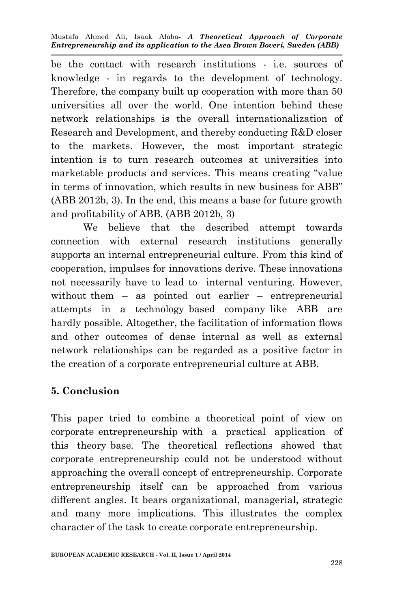be the contact with research institutions - i.e. sources of knowledge - in regards to the development of technology. Therefore, the company built up cooperation with more than 50 universities all over the world. One intention behind these network relationships is the overall internationalization of Research and Development, and thereby conducting R&D closer to the markets. However, the most important strategic intention is to turn research outcomes at universities into marketable products and services. This means creating "value in terms of innovation, which results in new business for ABB" (ABB 2012b, 3). In the end, this means a base for future growth and profitability of ABB. (ABB 2012b, 3)

We believe that the described attempt towards connection with external research institutions generally supports an internal entrepreneurial culture. From this kind of cooperation, impulses for innovations derive. These innovations not necessarily have to lead to internal venturing. However, without them – as pointed out earlier – entrepreneurial attempts in a technology based company like ABB are hardly possible. Altogether, the facilitation of information flows and other outcomes of dense internal as well as external network relationships can be regarded as a positive factor in the creation of a corporate entrepreneurial culture at ABB.

## **5. Conclusion**

This paper tried to combine a theoretical point of view on corporate entrepreneurship with a practical application of this theory base. The theoretical reflections showed that corporate entrepreneurship could not be understood without approaching the overall concept of entrepreneurship. Corporate entrepreneurship itself can be approached from various different angles. It bears organizational, managerial, strategic and many more implications. This illustrates the complex character of the task to create corporate entrepreneurship.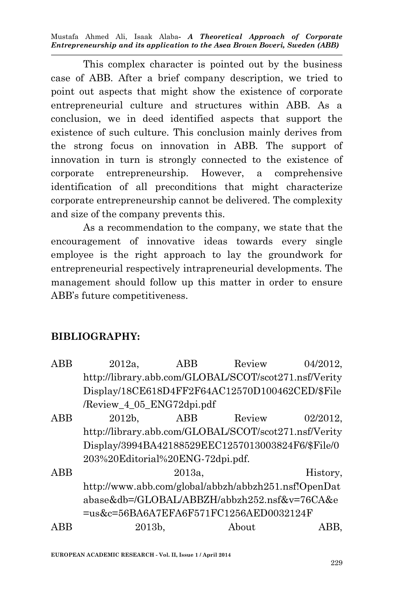This complex character is pointed out by the business case of ABB. After a brief company description, we tried to point out aspects that might show the existence of corporate entrepreneurial culture and structures within ABB. As a conclusion, we in deed identified aspects that support the existence of such culture. This conclusion mainly derives from the strong focus on innovation in ABB. The support of innovation in turn is strongly connected to the existence of corporate entrepreneurship. However, a comprehensive identification of all preconditions that might characterize corporate entrepreneurship cannot be delivered. The complexity and size of the company prevents this.

As a recommendation to the company, we state that the encouragement of innovative ideas towards every single employee is the right approach to lay the groundwork for entrepreneurial respectively intrapreneurial developments. The management should follow up this matter in order to ensure ABB's future competitiveness.

## **BIBLIOGRAPHY:**

| <b>ABB</b> | 2012a.                                                | ABB    | Review | 04/2012. |
|------------|-------------------------------------------------------|--------|--------|----------|
|            | http://library.abb.com/GLOBAL/SCOT/scot271.nsf/Verity |        |        |          |
|            | Display/18CE618D4FF2F64AC12570D100462CED/\$File       |        |        |          |
|            | /Review_4_05_ENG72dpi.pdf                             |        |        |          |
| ABB        | $2012b$ ,                                             | ABB    | Review | 02/2012, |
|            | http://library.abb.com/GLOBAL/SCOT/scot271.nsf/Verity |        |        |          |
|            | Display/3994BA42188529EEC1257013003824F6/\$File/0     |        |        |          |
|            | 203%20Editorial%20ENG-72dpi.pdf.                      |        |        |          |
| ABB        |                                                       | 2013a. |        | History, |
|            | http://www.abb.com/global/abbzh/abbzh251.nsf!OpenDat  |        |        |          |
|            | abase&db=/GLOBAL/ABBZH/abbzh252.nsf&v=76CA&e          |        |        |          |
|            | =us&c=56BA6A7EFA6F571FC1256AED0032124F                |        |        |          |
| ABB        | 2013b,                                                |        | About  | ABB.     |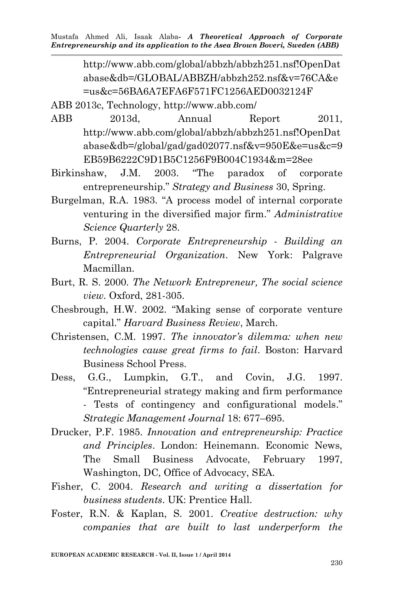> http://www.abb.com/global/abbzh/abbzh251.nsf!OpenDat abase&db=/GLOBAL/ABBZH/abbzh252.nsf&v=76CA&e =us&c=56BA6A7EFA6F571FC1256AED0032124F

ABB 2013c, Technology, http://www.abb.com/

- ABB 2013d, Annual Report 2011, http://www.abb.com/global/abbzh/abbzh251.nsf!OpenDat abase&db=/global/gad/gad02077.nsf&v=950E&e=us&c=9 EB59B6222C9D1B5C1256F9B004C1934&m=28ee
- Birkinshaw, J.M. 2003. "The paradox of corporate entrepreneurship." *Strategy and Business* 30, Spring.
- Burgelman, R.A. 1983. "A process model of internal corporate venturing in the diversified major firm." *Administrative Science Quarterly* 28.
- Burns, P. 2004. *Corporate Entrepreneurship - Building an Entrepreneurial Organization*. New York: Palgrave Macmillan.
- Burt, R. S. 2000. *The Network Entrepreneur, The social science view.* Oxford, 281-305.
- Chesbrough, H.W. 2002. "Making sense of corporate venture capital." *Harvard Business Review*, March.
- Christensen, C.M. 1997. *The innovator's dilemma: when new technologies cause great firms to fail*. Boston: Harvard Business School Press.
- Dess, G.G., Lumpkin, G.T., and Covin, J.G. 1997. "Entrepreneurial strategy making and firm performance - Tests of contingency and configurational models." *Strategic Management Journal* 18: 677–695.
- Drucker, P.F. 1985. *Innovation and entrepreneurship: Practice and Principles*. London: Heinemann. Economic News, The Small Business Advocate, February 1997, Washington, DC, Office of Advocacy, SEA.
- Fisher, C. 2004. *Research and writing a dissertation for business students*. UK: Prentice Hall.
- Foster, R.N. & Kaplan, S. 2001. *Creative destruction: why companies that are built to last underperform the*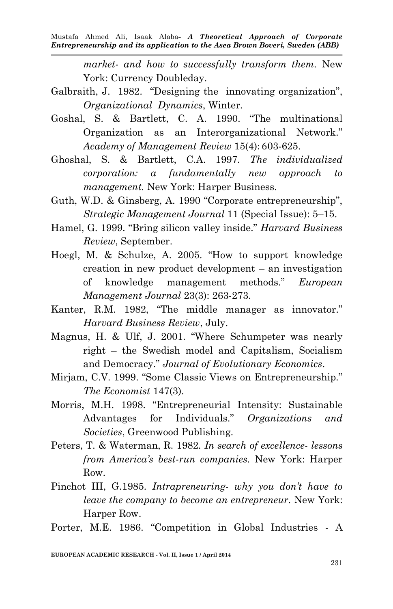> *market- and how to successfully transform them.* New York: Currency Doubleday.

- Galbraith, J. 1982. "Designing the innovating organization", *Organizational Dynamics*, Winter.
- Goshal, S. & Bartlett, C. A. 1990. "The multinational Organization as an Interorganizational Network." *Academy of Management Review* 15(4): 603-625.
- Ghoshal, S. & Bartlett, C.A. 1997. *The individualized corporation: a fundamentally new approach to management.* New York: Harper Business.
- Guth, W.D. & Ginsberg, A. 1990 "Corporate entrepreneurship", *Strategic Management Journal* 11 (Special Issue): 5–15.
- Hamel, G. 1999. "Bring silicon valley inside." *Harvard Business Review*, September.
- Hoegl, M. & Schulze, A. 2005. "How to support knowledge creation in new product development – an investigation of knowledge management methods." *European Management Journal* 23(3): 263-273.
- Kanter, R.M. 1982, "The middle manager as innovator." *Harvard Business Review*, July.
- Magnus, H. & Ulf, J. 2001. "Where Schumpeter was nearly right – the Swedish model and Capitalism, Socialism and Democracy." *Journal of Evolutionary Economics*.
- Mirjam, C.V. 1999. "Some Classic Views on Entrepreneurship." *The Economist* 147(3).
- Morris, M.H. 1998. "Entrepreneurial Intensity: Sustainable Advantages for Individuals." *Organizations and Societies*, Greenwood Publishing.
- Peters, T. & Waterman, R. 1982. *In search of excellence- lessons from America's best-run companies.* New York: Harper Row.
- Pinchot III, G.1985. *Intrapreneuring- why you don't have to leave the company to become an entrepreneur.* New York: Harper Row.
- Porter, M.E. 1986. "Competition in Global Industries A